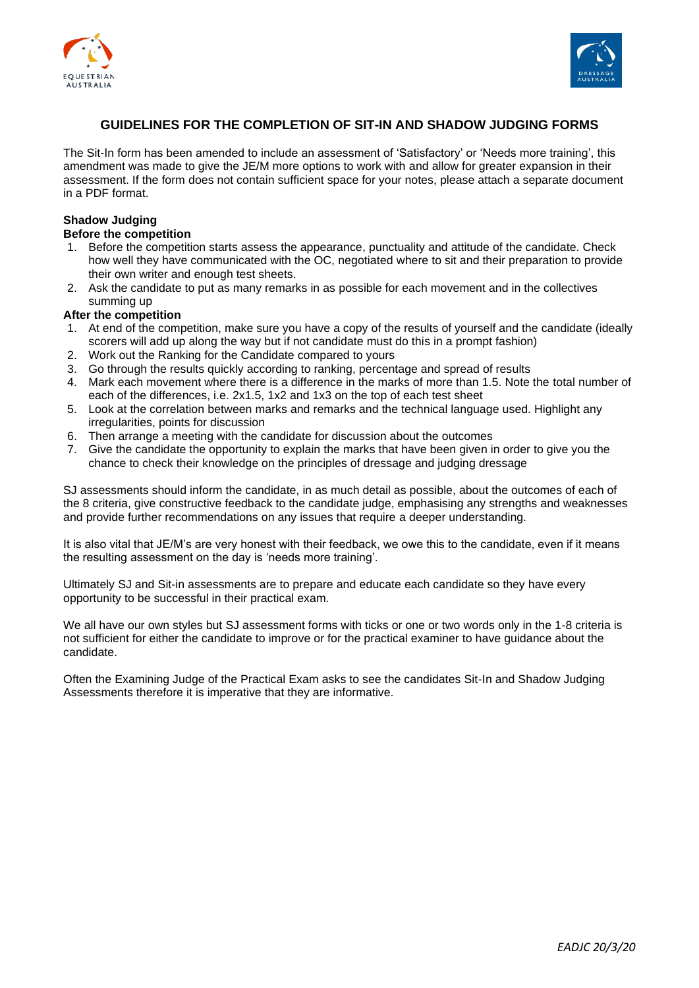



## **GUIDELINES FOR THE COMPLETION OF SIT-IN AND SHADOW JUDGING FORMS**

The Sit-In form has been amended to include an assessment of 'Satisfactory' or 'Needs more training', this amendment was made to give the JE/M more options to work with and allow for greater expansion in their assessment. If the form does not contain sufficient space for your notes, please attach a separate document in a PDF format.

## **Shadow Judging**

## **Before the competition**

- 1. Before the competition starts assess the appearance, punctuality and attitude of the candidate. Check how well they have communicated with the OC, negotiated where to sit and their preparation to provide their own writer and enough test sheets.
- 2. Ask the candidate to put as many remarks in as possible for each movement and in the collectives summing up

### **After the competition**

- 1. At end of the competition, make sure you have a copy of the results of yourself and the candidate (ideally scorers will add up along the way but if not candidate must do this in a prompt fashion)
- 2. Work out the Ranking for the Candidate compared to yours
- 3. Go through the results quickly according to ranking, percentage and spread of results
- 4. Mark each movement where there is a difference in the marks of more than 1.5. Note the total number of each of the differences, i.e. 2x1.5, 1x2 and 1x3 on the top of each test sheet
- 5. Look at the correlation between marks and remarks and the technical language used. Highlight any irregularities, points for discussion
- 6. Then arrange a meeting with the candidate for discussion about the outcomes
- 7. Give the candidate the opportunity to explain the marks that have been given in order to give you the chance to check their knowledge on the principles of dressage and judging dressage

SJ assessments should inform the candidate, in as much detail as possible, about the outcomes of each of the 8 criteria, give constructive feedback to the candidate judge, emphasising any strengths and weaknesses and provide further recommendations on any issues that require a deeper understanding.

It is also vital that JE/M's are very honest with their feedback, we owe this to the candidate, even if it means the resulting assessment on the day is 'needs more training'.

Ultimately SJ and Sit-in assessments are to prepare and educate each candidate so they have every opportunity to be successful in their practical exam.

We all have our own styles but SJ assessment forms with ticks or one or two words only in the 1-8 criteria is not sufficient for either the candidate to improve or for the practical examiner to have guidance about the candidate.

Often the Examining Judge of the Practical Exam asks to see the candidates Sit-In and Shadow Judging Assessments therefore it is imperative that they are informative.